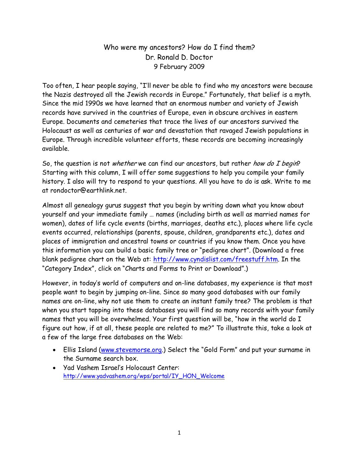## Who were my ancestors? How do I find them? Dr. Ronald D. Doctor 9 February 2009

Too often, I hear people saying, "I'll never be able to find who my ancestors were because the Nazis destroyed all the Jewish records in Europe." Fortunately, that belief is a myth. Since the mid 1990s we have learned that an enormous number and variety of Jewish records have survived in the countries of Europe, even in obscure archives in eastern Europe. Documents and cemeteries that trace the lives of our ancestors survived the Holocaust as well as centuries of war and devastation that ravaged Jewish populations in Europe. Through incredible volunteer efforts, these records are becoming increasingly available.

So, the question is not whether we can find our ancestors, but rather how do I begin? Starting with this column, I will offer some suggestions to help you compile your family history. I also will try to respond to your questions. All you have to do is ask. Write to me at rondoctor@earthlink.net.

Almost all genealogy gurus suggest that you begin by writing down what you know about yourself and your immediate family … names (including birth as well as married names for women), dates of life cycle events (births, marriages, deaths etc.), places where life cycle events occurred, relationships (parents, spouse, children, grandparents etc.), dates and places of immigration and ancestral towns or countries if you know them. Once you have this information you can build a basic family tree or "pedigree chart". (Download a free blank pedigree chart on the Web at: http://www.cyndislist.com/freestuff.htm. In the "Category Index", click on "Charts and Forms to Print or Download".)

However, in today's world of computers and on-line databases, my experience is that most people want to begin by jumping on-line. Since so many good databases with our family names are on-line, why not use them to create an instant family tree? The problem is that when you start tapping into these databases you will find so many records with your family names that you will be overwhelmed. Your first question will be, "how in the world do I figure out how, if at all, these people are related to me?" To illustrate this, take a look at a few of the large free databases on the Web:

- Ellis Island (www.stevemorse.org.) Select the "Gold Form" and put your surname in the Surname search box.
- Yad Vashem Israel's Holocaust Center: http://www.yadvashem.org/wps/portal/IY\_HON\_Welcome